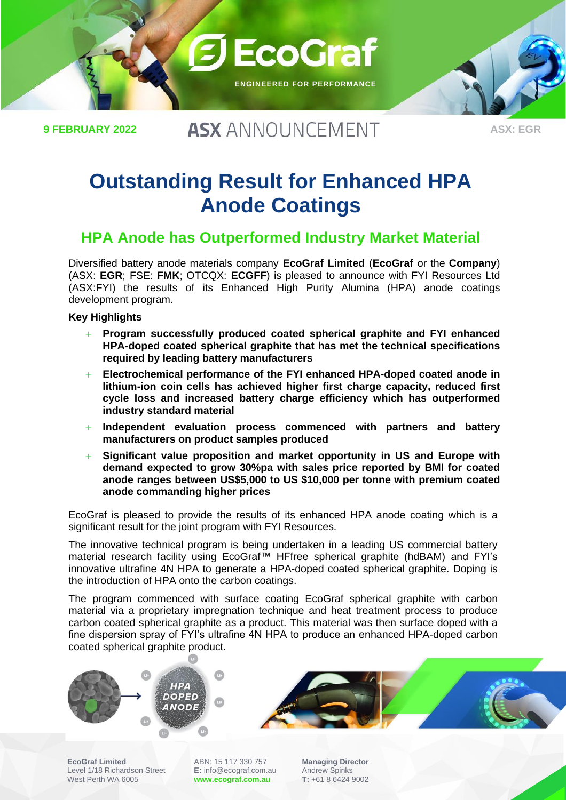

**9 FEBRUARY 2022**

## **ASX ANNOUNCEMENT**

# **Outstanding Result for Enhanced HPA Anode Coatings**

### **HPA Anode has Outperformed Industry Market Material**

Diversified battery anode materials company **EcoGraf Limited** (**EcoGraf** or the **Company**) (ASX: **EGR**; FSE: **FMK**; OTCQX: **ECGFF**) is pleased to announce with FYI Resources Ltd (ASX:FYI) the results of its Enhanced High Purity Alumina (HPA) anode coatings development program.

#### **Key Highlights**

- + **Program successfully produced coated spherical graphite and FYI enhanced HPA-doped coated spherical graphite that has met the technical specifications required by leading battery manufacturers**
- + **Electrochemical performance of the FYI enhanced HPA-doped coated anode in lithium-ion coin cells has achieved higher first charge capacity, reduced first cycle loss and increased battery charge efficiency which has outperformed industry standard material**
- + **Independent evaluation process commenced with partners and battery manufacturers on product samples produced**
- + **Significant value proposition and market opportunity in US and Europe with demand expected to grow 30%pa with sales price reported by BMI for coated anode ranges between US\$5,000 to US \$10,000 per tonne with premium coated anode commanding higher prices**

EcoGraf is pleased to provide the results of its enhanced HPA anode coating which is a significant result for the joint program with FYI Resources.

The innovative technical program is being undertaken in a leading US commercial battery material research facility using EcoGraf™ HFfree spherical graphite (hdBAM) and FYI's innovative ultrafine 4N HPA to generate a HPA-doped coated spherical graphite. Doping is the introduction of HPA onto the carbon coatings.

The program commenced with surface coating EcoGraf spherical graphite with carbon material via a proprietary impregnation technique and heat treatment process to produce carbon coated spherical graphite as a product. This material was then surface doped with a fine dispersion spray of FYI's ultrafine 4N HPA to produce an enhanced HPA-doped carbon coated spherical graphite product.



**EcoGraf Limited**

Level 1/18 Richardson Street West Perth WA 6005

ABN: 15 117 330 757 **E:** info@ecograf.com.au

**[www.ecograf.com.au](http://www.ecograf.com.au/)**

**Managing Director** Andrew Spinks **T:** +61 8 6424 9002



**ASX: EGR**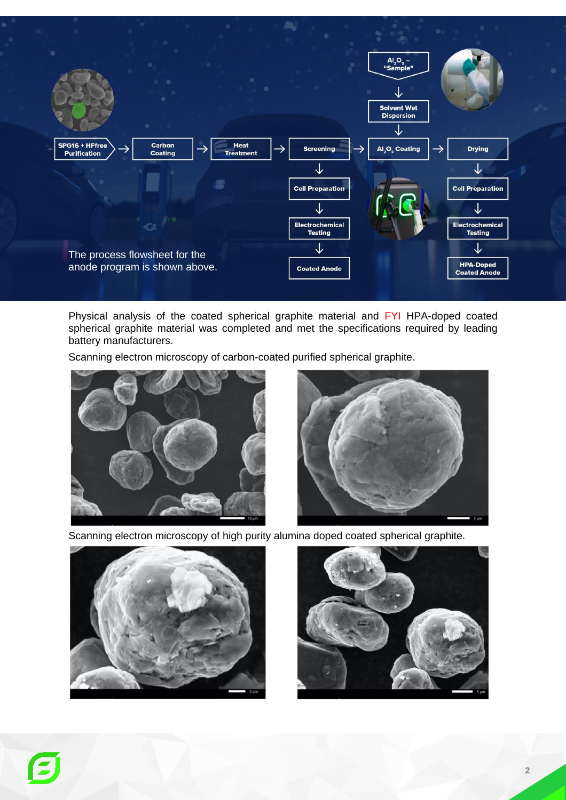

Physical analysis of the coated spherical graphite material and FYI HPA-doped coated spherical graphite material was completed and met the specifications required by leading battery manufacturers.

Scanning electron microscopy of carbon-coated purified spherical graphite.





Scanning electron microscopy of high purity alumina doped coated spherical graphite.





E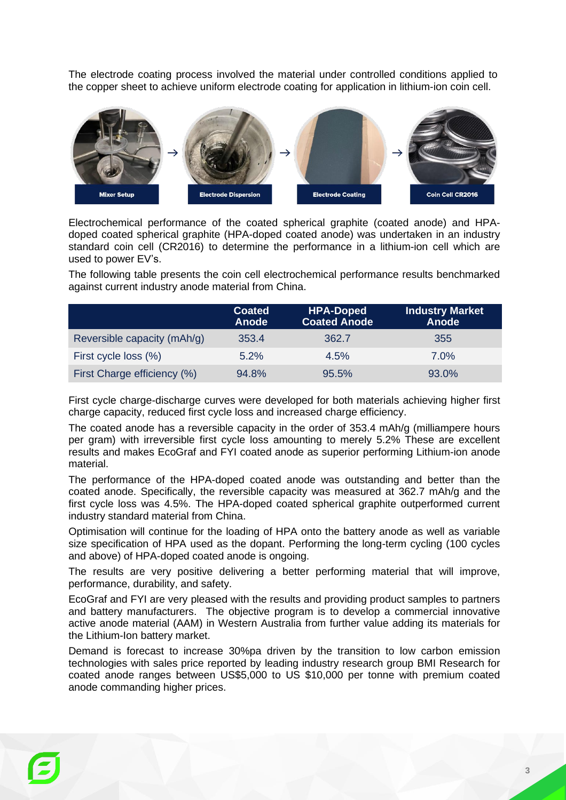The electrode coating process involved the material under controlled conditions applied to the copper sheet to achieve uniform electrode coating for application in lithium-ion coin cell.



Electrochemical performance of the coated spherical graphite (coated anode) and HPAdoped coated spherical graphite (HPA-doped coated anode) was undertaken in an industry standard coin cell (CR2016) to determine the performance in a lithium-ion cell which are used to power EV's.

The following table presents the coin cell electrochemical performance results benchmarked against current industry anode material from China.

|                             | <b>Coated</b><br><b>Anode</b> | <b>HPA-Doped</b><br><b>Coated Anode</b> | <b>Industry Market</b><br><b>Anode</b> |
|-----------------------------|-------------------------------|-----------------------------------------|----------------------------------------|
| Reversible capacity (mAh/g) | 353.4                         | 362.7                                   | 355                                    |
| First cycle loss (%)        | $5.2\%$                       | 4.5%                                    | 7.0%                                   |
| First Charge efficiency (%) | 94.8%                         | 95.5%                                   | 93.0%                                  |

First cycle charge-discharge curves were developed for both materials achieving higher first charge capacity, reduced first cycle loss and increased charge efficiency.

The coated anode has a reversible capacity in the order of 353.4 mAh/g (milliampere hours per gram) with irreversible first cycle loss amounting to merely 5.2% These are excellent results and makes EcoGraf and FYI coated anode as superior performing Lithium-ion anode material.

The performance of the HPA-doped coated anode was outstanding and better than the coated anode. Specifically, the reversible capacity was measured at 362.7 mAh/g and the first cycle loss was 4.5%. The HPA-doped coated spherical graphite outperformed current industry standard material from China.

Optimisation will continue for the loading of HPA onto the battery anode as well as variable size specification of HPA used as the dopant. Performing the long-term cycling (100 cycles and above) of HPA-doped coated anode is ongoing.

The results are very positive delivering a better performing material that will improve, performance, durability, and safety.

EcoGraf and FYI are very pleased with the results and providing product samples to partners and battery manufacturers. The objective program is to develop a commercial innovative active anode material (AAM) in Western Australia from further value adding its materials for the Lithium-Ion battery market.

Demand is forecast to increase 30%pa driven by the transition to low carbon emission technologies with sales price reported by leading industry research group BMI Research for coated anode ranges between US\$5,000 to US \$10,000 per tonne with premium coated anode commanding higher prices.